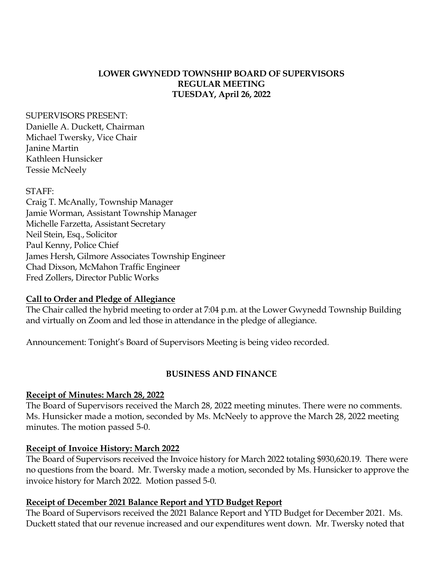### **LOWER GWYNEDD TOWNSHIP BOARD OF SUPERVISORS REGULAR MEETING TUESDAY, April 26, 2022**

#### SUPERVISORS PRESENT:

Danielle A. Duckett, Chairman Michael Twersky, Vice Chair Janine Martin Kathleen Hunsicker Tessie McNeely

#### STAFF:

Craig T. McAnally, Township Manager Jamie Worman, Assistant Township Manager Michelle Farzetta, Assistant Secretary Neil Stein, Esq., Solicitor Paul Kenny, Police Chief James Hersh, Gilmore Associates Township Engineer Chad Dixson, McMahon Traffic Engineer Fred Zollers, Director Public Works

### **Call to Order and Pledge of Allegiance**

The Chair called the hybrid meeting to order at 7:04 p.m. at the Lower Gwynedd Township Building and virtually on Zoom and led those in attendance in the pledge of allegiance.

Announcement: Tonight's Board of Supervisors Meeting is being video recorded.

### **BUSINESS AND FINANCE**

### **Receipt of Minutes: March 28, 2022**

The Board of Supervisors received the March 28, 2022 meeting minutes. There were no comments. Ms. Hunsicker made a motion, seconded by Ms. McNeely to approve the March 28, 2022 meeting minutes. The motion passed 5-0.

### **Receipt of Invoice History: March 2022**

The Board of Supervisors received the Invoice history for March 2022 totaling \$930,620.19. There were no questions from the board. Mr. Twersky made a motion, seconded by Ms. Hunsicker to approve the invoice history for March 2022. Motion passed 5-0.

### **Receipt of December 2021 Balance Report and YTD Budget Report**

The Board of Supervisors received the 2021 Balance Report and YTD Budget for December 2021. Ms. Duckett stated that our revenue increased and our expenditures went down. Mr. Twersky noted that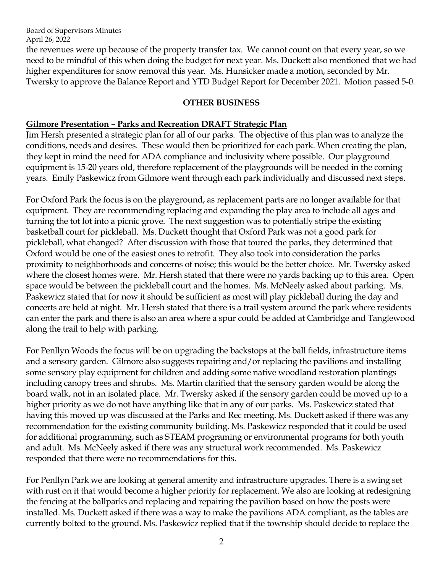the revenues were up because of the property transfer tax. We cannot count on that every year, so we need to be mindful of this when doing the budget for next year. Ms. Duckett also mentioned that we had higher expenditures for snow removal this year. Ms. Hunsicker made a motion, seconded by Mr. Twersky to approve the Balance Report and YTD Budget Report for December 2021. Motion passed 5-0.

### **OTHER BUSINESS**

### **Gilmore Presentation – Parks and Recreation DRAFT Strategic Plan**

Jim Hersh presented a strategic plan for all of our parks. The objective of this plan was to analyze the conditions, needs and desires. These would then be prioritized for each park. When creating the plan, they kept in mind the need for ADA compliance and inclusivity where possible. Our playground equipment is 15-20 years old, therefore replacement of the playgrounds will be needed in the coming years. Emily Paskewicz from Gilmore went through each park individually and discussed next steps.

For Oxford Park the focus is on the playground, as replacement parts are no longer available for that equipment. They are recommending replacing and expanding the play area to include all ages and turning the tot lot into a picnic grove. The next suggestion was to potentially stripe the existing basketball court for pickleball. Ms. Duckett thought that Oxford Park was not a good park for pickleball, what changed? After discussion with those that toured the parks, they determined that Oxford would be one of the easiest ones to retrofit. They also took into consideration the parks proximity to neighborhoods and concerns of noise; this would be the better choice. Mr. Twersky asked where the closest homes were. Mr. Hersh stated that there were no yards backing up to this area. Open space would be between the pickleball court and the homes. Ms. McNeely asked about parking. Ms. Paskewicz stated that for now it should be sufficient as most will play pickleball during the day and concerts are held at night. Mr. Hersh stated that there is a trail system around the park where residents can enter the park and there is also an area where a spur could be added at Cambridge and Tanglewood along the trail to help with parking.

For Penllyn Woods the focus will be on upgrading the backstops at the ball fields, infrastructure items and a sensory garden. Gilmore also suggests repairing and/or replacing the pavilions and installing some sensory play equipment for children and adding some native woodland restoration plantings including canopy trees and shrubs. Ms. Martin clarified that the sensory garden would be along the board walk, not in an isolated place. Mr. Twersky asked if the sensory garden could be moved up to a higher priority as we do not have anything like that in any of our parks. Ms. Paskewicz stated that having this moved up was discussed at the Parks and Rec meeting. Ms. Duckett asked if there was any recommendation for the existing community building. Ms. Paskewicz responded that it could be used for additional programming, such as STEAM programing or environmental programs for both youth and adult. Ms. McNeely asked if there was any structural work recommended. Ms. Paskewicz responded that there were no recommendations for this.

For Penllyn Park we are looking at general amenity and infrastructure upgrades. There is a swing set with rust on it that would become a higher priority for replacement. We also are looking at redesigning the fencing at the ballparks and replacing and repairing the pavilion based on how the posts were installed. Ms. Duckett asked if there was a way to make the pavilions ADA compliant, as the tables are currently bolted to the ground. Ms. Paskewicz replied that if the township should decide to replace the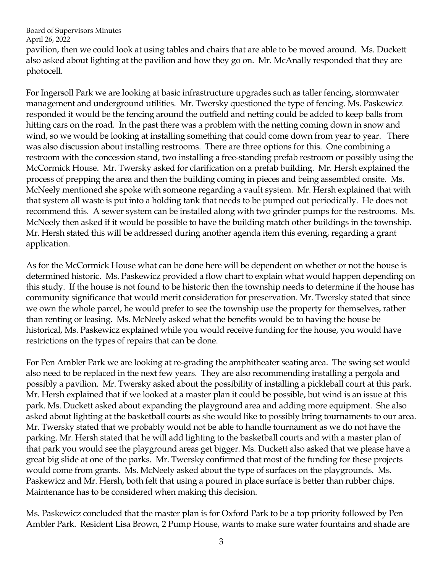pavilion, then we could look at using tables and chairs that are able to be moved around. Ms. Duckett also asked about lighting at the pavilion and how they go on. Mr. McAnally responded that they are photocell.

For Ingersoll Park we are looking at basic infrastructure upgrades such as taller fencing, stormwater management and underground utilities. Mr. Twersky questioned the type of fencing. Ms. Paskewicz responded it would be the fencing around the outfield and netting could be added to keep balls from hitting cars on the road. In the past there was a problem with the netting coming down in snow and wind, so we would be looking at installing something that could come down from year to year. There was also discussion about installing restrooms. There are three options for this. One combining a restroom with the concession stand, two installing a free-standing prefab restroom or possibly using the McCormick House. Mr. Twersky asked for clarification on a prefab building. Mr. Hersh explained the process of prepping the area and then the building coming in pieces and being assembled onsite. Ms. McNeely mentioned she spoke with someone regarding a vault system. Mr. Hersh explained that with that system all waste is put into a holding tank that needs to be pumped out periodically. He does not recommend this. A sewer system can be installed along with two grinder pumps for the restrooms. Ms. McNeely then asked if it would be possible to have the building match other buildings in the township. Mr. Hersh stated this will be addressed during another agenda item this evening, regarding a grant application.

As for the McCormick House what can be done here will be dependent on whether or not the house is determined historic. Ms. Paskewicz provided a flow chart to explain what would happen depending on this study. If the house is not found to be historic then the township needs to determine if the house has community significance that would merit consideration for preservation. Mr. Twersky stated that since we own the whole parcel, he would prefer to see the township use the property for themselves, rather than renting or leasing. Ms. McNeely asked what the benefits would be to having the house be historical, Ms. Paskewicz explained while you would receive funding for the house, you would have restrictions on the types of repairs that can be done.

For Pen Ambler Park we are looking at re-grading the amphitheater seating area. The swing set would also need to be replaced in the next few years. They are also recommending installing a pergola and possibly a pavilion. Mr. Twersky asked about the possibility of installing a pickleball court at this park. Mr. Hersh explained that if we looked at a master plan it could be possible, but wind is an issue at this park. Ms. Duckett asked about expanding the playground area and adding more equipment. She also asked about lighting at the basketball courts as she would like to possibly bring tournaments to our area. Mr. Twersky stated that we probably would not be able to handle tournament as we do not have the parking. Mr. Hersh stated that he will add lighting to the basketball courts and with a master plan of that park you would see the playground areas get bigger. Ms. Duckett also asked that we please have a great big slide at one of the parks. Mr. Twersky confirmed that most of the funding for these projects would come from grants. Ms. McNeely asked about the type of surfaces on the playgrounds. Ms. Paskewicz and Mr. Hersh, both felt that using a poured in place surface is better than rubber chips. Maintenance has to be considered when making this decision.

Ms. Paskewicz concluded that the master plan is for Oxford Park to be a top priority followed by Pen Ambler Park. Resident Lisa Brown, 2 Pump House, wants to make sure water fountains and shade are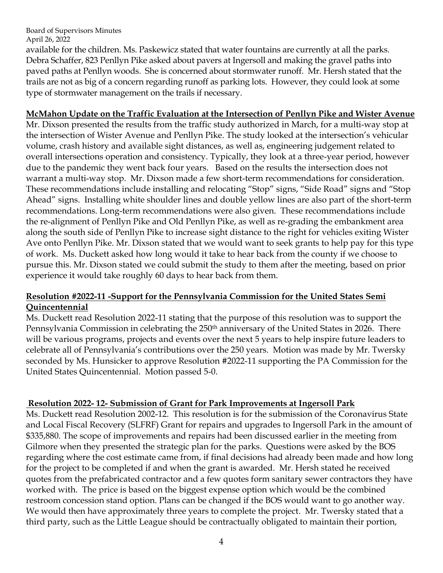available for the children. Ms. Paskewicz stated that water fountains are currently at all the parks. Debra Schaffer, 823 Penllyn Pike asked about pavers at Ingersoll and making the gravel paths into paved paths at Penllyn woods. She is concerned about stormwater runoff. Mr. Hersh stated that the trails are not as big of a concern regarding runoff as parking lots. However, they could look at some type of stormwater management on the trails if necessary.

## **McMahon Update on the Traffic Evaluation at the Intersection of Penllyn Pike and Wister Avenue**

Mr. Dixson presented the results from the traffic study authorized in March, for a multi-way stop at the intersection of Wister Avenue and Penllyn Pike. The study looked at the intersection's vehicular volume, crash history and available sight distances, as well as, engineering judgement related to overall intersections operation and consistency. Typically, they look at a three-year period, however due to the pandemic they went back four years. Based on the results the intersection does not warrant a multi-way stop. Mr. Dixson made a few short-term recommendations for consideration. These recommendations include installing and relocating "Stop" signs, "Side Road" signs and "Stop Ahead" signs. Installing white shoulder lines and double yellow lines are also part of the short-term recommendations. Long-term recommendations were also given. These recommendations include the re-alignment of Penllyn Pike and Old Penllyn Pike, as well as re-grading the embankment area along the south side of Penllyn Pike to increase sight distance to the right for vehicles exiting Wister Ave onto Penllyn Pike. Mr. Dixson stated that we would want to seek grants to help pay for this type of work. Ms. Duckett asked how long would it take to hear back from the county if we choose to pursue this. Mr. Dixson stated we could submit the study to them after the meeting, based on prior experience it would take roughly 60 days to hear back from them.

## **Resolution #2022-11 -Support for the Pennsylvania Commission for the United States Semi Quincentennial**

Ms. Duckett read Resolution 2022-11 stating that the purpose of this resolution was to support the Pennsylvania Commission in celebrating the 250<sup>th</sup> anniversary of the United States in 2026. There will be various programs, projects and events over the next 5 years to help inspire future leaders to celebrate all of Pennsylvania's contributions over the 250 years. Motion was made by Mr. Twersky seconded by Ms. Hunsicker to approve Resolution #2022-11 supporting the PA Commission for the United States Quincentennial. Motion passed 5-0.

## **Resolution 2022- 12- Submission of Grant for Park Improvements at Ingersoll Park**

Ms. Duckett read Resolution 2002-12. This resolution is for the submission of the Coronavirus State and Local Fiscal Recovery (SLFRF) Grant for repairs and upgrades to Ingersoll Park in the amount of \$335,880. The scope of improvements and repairs had been discussed earlier in the meeting from Gilmore when they presented the strategic plan for the parks. Questions were asked by the BOS regarding where the cost estimate came from, if final decisions had already been made and how long for the project to be completed if and when the grant is awarded. Mr. Hersh stated he received quotes from the prefabricated contractor and a few quotes form sanitary sewer contractors they have worked with. The price is based on the biggest expense option which would be the combined restroom concession stand option. Plans can be changed if the BOS would want to go another way. We would then have approximately three years to complete the project. Mr. Twersky stated that a third party, such as the Little League should be contractually obligated to maintain their portion,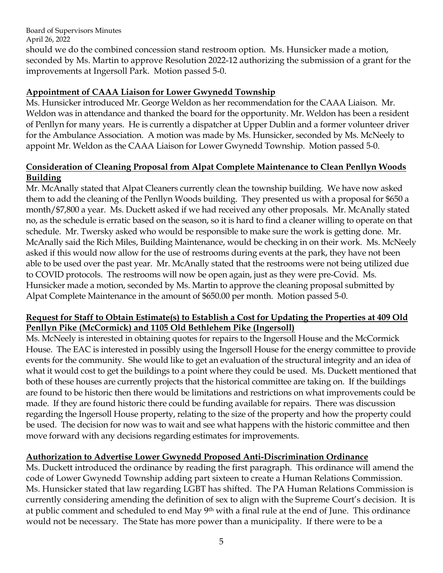should we do the combined concession stand restroom option. Ms. Hunsicker made a motion, seconded by Ms. Martin to approve Resolution 2022-12 authorizing the submission of a grant for the improvements at Ingersoll Park. Motion passed 5-0.

# **Appointment of CAAA Liaison for Lower Gwynedd Township**

Ms. Hunsicker introduced Mr. George Weldon as her recommendation for the CAAA Liaison. Mr. Weldon was in attendance and thanked the board for the opportunity. Mr. Weldon has been a resident of Penllyn for many years. He is currently a dispatcher at Upper Dublin and a former volunteer driver for the Ambulance Association. A motion was made by Ms. Hunsicker, seconded by Ms. McNeely to appoint Mr. Weldon as the CAAA Liaison for Lower Gwynedd Township. Motion passed 5-0.

# **Consideration of Cleaning Proposal from Alpat Complete Maintenance to Clean Penllyn Woods Building**

Mr. McAnally stated that Alpat Cleaners currently clean the township building. We have now asked them to add the cleaning of the Penllyn Woods building. They presented us with a proposal for \$650 a month/\$7,800 a year. Ms. Duckett asked if we had received any other proposals. Mr. McAnally stated no, as the schedule is erratic based on the season, so it is hard to find a cleaner willing to operate on that schedule. Mr. Twersky asked who would be responsible to make sure the work is getting done. Mr. McAnally said the Rich Miles, Building Maintenance, would be checking in on their work. Ms. McNeely asked if this would now allow for the use of restrooms during events at the park, they have not been able to be used over the past year. Mr. McAnally stated that the restrooms were not being utilized due to COVID protocols. The restrooms will now be open again, just as they were pre-Covid. Ms. Hunsicker made a motion, seconded by Ms. Martin to approve the cleaning proposal submitted by Alpat Complete Maintenance in the amount of \$650.00 per month. Motion passed 5-0.

## **Request for Staff to Obtain Estimate(s) to Establish a Cost for Updating the Properties at 409 Old Penllyn Pike (McCormick) and 1105 Old Bethlehem Pike (Ingersoll)**

Ms. McNeely is interested in obtaining quotes for repairs to the Ingersoll House and the McCormick House. The EAC is interested in possibly using the Ingersoll House for the energy committee to provide events for the community. She would like to get an evaluation of the structural integrity and an idea of what it would cost to get the buildings to a point where they could be used. Ms. Duckett mentioned that both of these houses are currently projects that the historical committee are taking on. If the buildings are found to be historic then there would be limitations and restrictions on what improvements could be made. If they are found historic there could be funding available for repairs. There was discussion regarding the Ingersoll House property, relating to the size of the property and how the property could be used. The decision for now was to wait and see what happens with the historic committee and then move forward with any decisions regarding estimates for improvements.

## **Authorization to Advertise Lower Gwynedd Proposed Anti-Discrimination Ordinance**

Ms. Duckett introduced the ordinance by reading the first paragraph. This ordinance will amend the code of Lower Gwynedd Township adding part sixteen to create a Human Relations Commission. Ms. Hunsicker stated that law regarding LGBT has shifted. The PA Human Relations Commission is currently considering amending the definition of sex to align with the Supreme Court's decision. It is at public comment and scheduled to end May 9<sup>th</sup> with a final rule at the end of June. This ordinance would not be necessary. The State has more power than a municipality. If there were to be a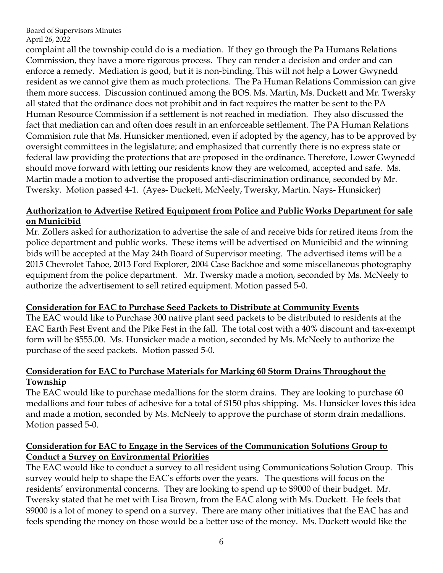complaint all the township could do is a mediation. If they go through the Pa Humans Relations Commission, they have a more rigorous process. They can render a decision and order and can enforce a remedy. Mediation is good, but it is non-binding. This will not help a Lower Gwynedd resident as we cannot give them as much protections. The Pa Human Relations Commission can give them more success. Discussion continued among the BOS. Ms. Martin, Ms. Duckett and Mr. Twersky all stated that the ordinance does not prohibit and in fact requires the matter be sent to the PA Human Resource Commission if a settlement is not reached in mediation. They also discussed the fact that mediation can and often does result in an enforceable settlement. The PA Human Relations Commision rule that Ms. Hunsicker mentioned, even if adopted by the agency, has to be approved by oversight committees in the legislature; and emphasized that currently there is no express state or federal law providing the protections that are proposed in the ordinance. Therefore, Lower Gwynedd should move forward with letting our residents know they are welcomed, accepted and safe. Ms. Martin made a motion to advertise the proposed anti-discrimination ordinance, seconded by Mr. Twersky. Motion passed 4-1. (Ayes- Duckett, McNeely, Twersky, Martin. Nays- Hunsicker)

## **Authorization to Advertise Retired Equipment from Police and Public Works Department for sale on Municibid**

Mr. Zollers asked for authorization to advertise the sale of and receive bids for retired items from the police department and public works. These items will be advertised on Municibid and the winning bids will be accepted at the May 24th Board of Supervisor meeting. The advertised items will be a 2015 Chevrolet Tahoe, 2013 Ford Explorer, 2004 Case Backhoe and some miscellaneous photography equipment from the police department. Mr. Twersky made a motion, seconded by Ms. McNeely to authorize the advertisement to sell retired equipment. Motion passed 5-0.

## **Consideration for EAC to Purchase Seed Packets to Distribute at Community Events**

The EAC would like to Purchase 300 native plant seed packets to be distributed to residents at the EAC Earth Fest Event and the Pike Fest in the fall. The total cost with a 40% discount and tax-exempt form will be \$555.00. Ms. Hunsicker made a motion, seconded by Ms. McNeely to authorize the purchase of the seed packets. Motion passed 5-0.

## **Consideration for EAC to Purchase Materials for Marking 60 Storm Drains Throughout the Township**

The EAC would like to purchase medallions for the storm drains. They are looking to purchase 60 medallions and four tubes of adhesive for a total of \$150 plus shipping. Ms. Hunsicker loves this idea and made a motion, seconded by Ms. McNeely to approve the purchase of storm drain medallions. Motion passed 5-0.

## **Consideration for EAC to Engage in the Services of the Communication Solutions Group to Conduct a Survey on Environmental Priorities**

The EAC would like to conduct a survey to all resident using Communications Solution Group. This survey would help to shape the EAC's efforts over the years. The questions will focus on the residents' environmental concerns. They are looking to spend up to \$9000 of their budget. Mr. Twersky stated that he met with Lisa Brown, from the EAC along with Ms. Duckett. He feels that \$9000 is a lot of money to spend on a survey. There are many other initiatives that the EAC has and feels spending the money on those would be a better use of the money. Ms. Duckett would like the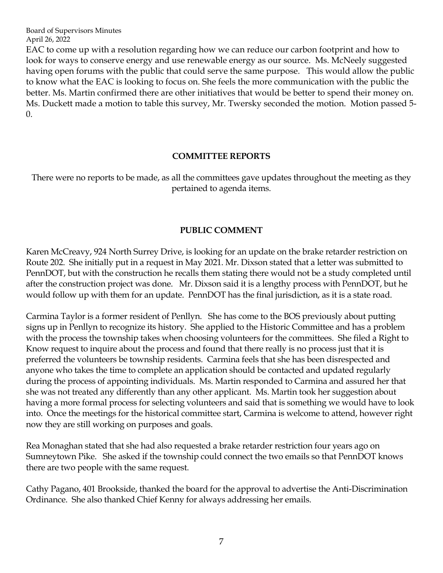EAC to come up with a resolution regarding how we can reduce our carbon footprint and how to look for ways to conserve energy and use renewable energy as our source. Ms. McNeely suggested having open forums with the public that could serve the same purpose. This would allow the public to know what the EAC is looking to focus on. She feels the more communication with the public the better. Ms. Martin confirmed there are other initiatives that would be better to spend their money on. Ms. Duckett made a motion to table this survey, Mr. Twersky seconded the motion. Motion passed 5- 0.

### **COMMITTEE REPORTS**

There were no reports to be made, as all the committees gave updates throughout the meeting as they pertained to agenda items.

### **PUBLIC COMMENT**

Karen McCreavy, 924 North Surrey Drive, is looking for an update on the brake retarder restriction on Route 202. She initially put in a request in May 2021. Mr. Dixson stated that a letter was submitted to PennDOT, but with the construction he recalls them stating there would not be a study completed until after the construction project was done. Mr. Dixson said it is a lengthy process with PennDOT, but he would follow up with them for an update. PennDOT has the final jurisdiction, as it is a state road.

Carmina Taylor is a former resident of Penllyn. She has come to the BOS previously about putting signs up in Penllyn to recognize its history. She applied to the Historic Committee and has a problem with the process the township takes when choosing volunteers for the committees. She filed a Right to Know request to inquire about the process and found that there really is no process just that it is preferred the volunteers be township residents. Carmina feels that she has been disrespected and anyone who takes the time to complete an application should be contacted and updated regularly during the process of appointing individuals. Ms. Martin responded to Carmina and assured her that she was not treated any differently than any other applicant. Ms. Martin took her suggestion about having a more formal process for selecting volunteers and said that is something we would have to look into. Once the meetings for the historical committee start, Carmina is welcome to attend, however right now they are still working on purposes and goals.

Rea Monaghan stated that she had also requested a brake retarder restriction four years ago on Sumneytown Pike. She asked if the township could connect the two emails so that PennDOT knows there are two people with the same request.

Cathy Pagano, 401 Brookside, thanked the board for the approval to advertise the Anti-Discrimination Ordinance. She also thanked Chief Kenny for always addressing her emails.